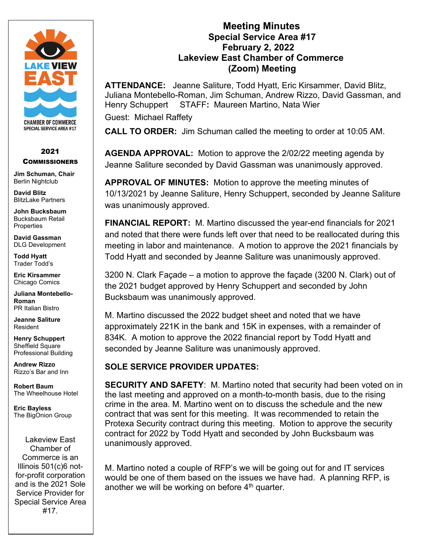

## 2021 **COMMISSIONERS**

**Jim Schuman, Chair** Berlin Nightclub

**David Blitz** BlitzLake Partners

**John Bucksbaum** Bucksbaum Retail **Properties** 

**David Gassman** DLG Development

**Todd Hyatt** Trader Todd's

**Eric Kirsammer** Chicago Comics

**Juliana Montebello-Roman** PR Italian Bistro

**Jeanne Saliture** Resident

**Henry Schuppert** Sheffield Square Professional Building

**Andrew Rizzo** Rizzo's Bar and Inn

**Robert Baum** The Wheelhouse Hotel

**Eric Bayless** The BigOnion Group

Lakeview East Chamber of Commerce is an Illinois 501(c)6 notfor-profit corporation and is the 2021 Sole Service Provider for Special Service Area #17.

## **Meeting Minutes Special Service Area #17 February 2, 2022 Lakeview East Chamber of Commerce (Zoom) Meeting**

**ATTENDANCE:** Jeanne Saliture, Todd Hyatt, Eric Kirsammer, David Blitz, Juliana Montebello-Roman, Jim Schuman, Andrew Rizzo, David Gassman, and Henry Schuppert STAFF**:** Maureen Martino, Nata Wier Guest: Michael Raffety

**CALL TO ORDER:** Jim Schuman called the meeting to order at 10:05 AM.

**AGENDA APPROVAL:** Motion to approve the 2/02/22 meeting agenda by Jeanne Saliture seconded by David Gassman was unanimously approved.

**APPROVAL OF MINUTES:** Motion to approve the meeting minutes of 10/13/2021 by Jeanne Saliture, Henry Schuppert, seconded by Jeanne Saliture was unanimously approved.

**FINANCIAL REPORT:** M. Martino discussed the year-end financials for 2021 and noted that there were funds left over that need to be reallocated during this meeting in labor and maintenance. A motion to approve the 2021 financials by Todd Hyatt and seconded by Jeanne Saliture was unanimously approved.

3200 N. Clark Façade – a motion to approve the façade (3200 N. Clark) out of the 2021 budget approved by Henry Schuppert and seconded by John Bucksbaum was unanimously approved.

M. Martino discussed the 2022 budget sheet and noted that we have approximately 221K in the bank and 15K in expenses, with a remainder of 834K. A motion to approve the 2022 financial report by Todd Hyatt and seconded by Jeanne Saliture was unanimously approved.

## **SOLE SERVICE PROVIDER UPDATES:**

**SECURITY AND SAFETY**: M. Martino noted that security had been voted on in the last meeting and approved on a month-to-month basis, due to the rising crime in the area. M. Martino went on to discuss the schedule and the new contract that was sent for this meeting. It was recommended to retain the Protexa Security contract during this meeting. Motion to approve the security contract for 2022 by Todd Hyatt and seconded by John Bucksbaum was unanimously approved.

M. Martino noted a couple of RFP's we will be going out for and IT services would be one of them based on the issues we have had. A planning RFP, is another we will be working on before  $4<sup>th</sup>$  quarter.